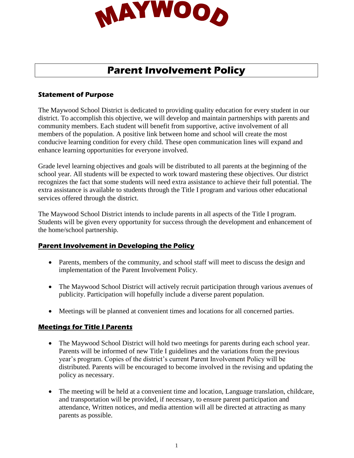

# **Parent Involvement Policy**

#### **Statement of Purpose**

The Maywood School District is dedicated to providing quality education for every student in our district. To accomplish this objective, we will develop and maintain partnerships with parents and community members. Each student will benefit from supportive, active involvement of all members of the population. A positive link between home and school will create the most conducive learning condition for every child. These open communication lines will expand and enhance learning opportunities for everyone involved.

Grade level learning objectives and goals will be distributed to all parents at the beginning of the school year. All students will be expected to work toward mastering these objectives. Our district recognizes the fact that some students will need extra assistance to achieve their full potential. The extra assistance is available to students through the Title I program and various other educational services offered through the district.

The Maywood School District intends to include parents in all aspects of the Title I program. Students will be given every opportunity for success through the development and enhancement of the home/school partnership.

# **Parent Involvement in Developing the Policy**

- Parents, members of the community, and school staff will meet to discuss the design and implementation of the Parent Involvement Policy.
- The Maywood School District will actively recruit participation through various avenues of publicity. Participation will hopefully include a diverse parent population.
- Meetings will be planned at convenient times and locations for all concerned parties.

# **Meetings for Title I Parents**

- The Maywood School District will hold two meetings for parents during each school year. Parents will be informed of new Title I guidelines and the variations from the previous year's program. Copies of the district's current Parent Involvement Policy will be distributed. Parents will be encouraged to become involved in the revising and updating the policy as necessary.
- The meeting will be held at a convenient time and location, Language translation, childcare, and transportation will be provided, if necessary, to ensure parent participation and attendance, Written notices, and media attention will all be directed at attracting as many parents as possible.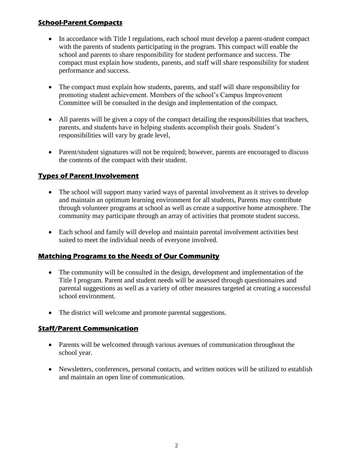# **School-Parent Compacts**

- In accordance with Title I regulations, each school must develop a parent-student compact with the parents of students participating in the program. This compact will enable the school and parents to share responsibility for student performance and success. The compact must explain how students, parents, and staff will share responsibility for student performance and success.
- The compact must explain how students, parents, and staff will share responsibility for promoting student achievement. Members of the school's Campus Improvement Committee will be consulted in the design and implementation of the compact.
- All parents will be given a copy of the compact detailing the responsibilities that teachers, parents, and students have in helping students accomplish their goals. Student's responsibilities will vary by grade level,
- Parent/student signatures will not be required; however, parents are encouraged to discuss the contents of the compact with their student.

# **Types of Parent Involvement**

- The school will support many varied ways of parental involvement as it strives to develop and maintain an optimum learning environment for all students, Parents may contribute through volunteer programs at school as well as create a supportive home atmosphere. The community may participate through an array of activities that promote student success.
- Each school and family will develop and maintain parental involvement activities best suited to meet the individual needs of everyone involved.

# **Matching Programs to the Needs of Our Community**

- The community will be consulted in the design, development and implementation of the Title I program. Parent and student needs will be assessed through questionnaires and parental suggestions as well as a variety of other measures targeted at creating a successful school environment.
- The district will welcome and promote parental suggestions.

# **Staff/Parent Communication**

- Parents will be welcomed through various avenues of communication throughout the school year.
- Newsletters, conferences, personal contacts, and written notices will be utilized to establish and maintain an open line of communication.